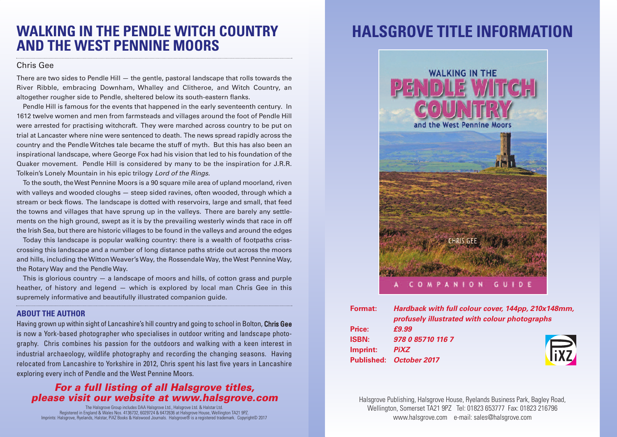## **WALKING IN THE PENDLE WITCH COUNTRY AND THE WEST PENNINE MOORS**

### Chris Gee

There are two sides to Pendle Hill  $-$  the gentle, pastoral landscape that rolls towards the River Ribble, embracing Downham, Whalley and Clitheroe, and Witch Country, an altogether rougher side to Pendle, sheltered below its south-eastern flanks.

Pendle Hill is famous for the events that happened in the early seventeenth century. In 1612 twelve women and men from farmsteads and villages around the foot of Pendle Hill were arrested for practising witchcraft. They were marched across country to be put on trial at Lancaster where nine were sentenced to death. The news spread rapidly across the country and the Pendle Witches tale became the stuff of myth. But this has also been an inspirational landscape, where George Fox had his vision that led to his foundation of the Quaker movement. Pendle Hill is considered by many to be the inspiration for J.R.R. Tolkein's Lonely Mountain in his epic trilogy *Lord of the Rings.*

To the south, theWest Pennine Moors is a 90 square mile area of upland moorland, riven with valleys and wooded cloughs — steep sided ravines, often wooded, through which a stream or beck flows. The landscape is dotted with reservoirs, large and small, that feed the towns and villages that have sprung up in the valleys. There are barely any settlements on the high ground, swept as it is by the prevailing westerly winds that race in off the Irish Sea, but there are historic villages to be found in the valleys and around the edges

Today this landscape is popular walking country: there is a wealth of footpaths crisscrossing this landscape and a number of long distance paths stride out across the moors and hills, including the Witton Weaver's Way, the Rossendale Way, the West Pennine Way, the Rotary Way and the Pendle Way.

This is glorious country  $-$  a landscape of moors and hills, of cotton grass and purple heather, of history and legend — which is explored by local man Chris Gee in this supremely informative and beautifully illustrated companion guide.

#### **ABOUT THE AUTHOR**

Having grown up within sight of Lancashire's hill country and going to school in Bolton, Chris Gee is now a York-based photographer who specialises in outdoor writing and landscape photography. Chris combines his passion for the outdoors and walking with a keen interest in industrial archaeology, wildlife photography and recording the changing seasons. Having relocated from Lancashire to Yorkshire in 2012, Chris spent his last five years in Lancashire exploring every inch of Pendle and the West Pennine Moors.

### *For a full listing of all Halsgrove titles, please visit our website at www.halsgrove.com*

The Halsgrove Group includes DAA Halsgrove Ltd., Halsgrove Ltd. & Halstar Ltd. Registered in England & Wales Nos. 4136732, 6029724 & 6472636 at Halsgrove House, Wellington TA21 9PZ. Imprints: Halsgrove, Ryelands, Halstar, PiXZ Books & Halswood Journals. Halsgrove® is a registered trademark. Copyright© 2017

# **HALSGROVE TITLE INFORMATION**



| <b>Format:</b> | Hardback with full colour cover, 144pp, 210x148mm, |             |
|----------------|----------------------------------------------------|-------------|
|                | profusely illustrated with colour photographs      |             |
| Price:         | £9.99                                              |             |
| <b>ISBN:</b>   | 978 0 85710 116 7                                  |             |
| Imprint:       | <b>PiXZ</b>                                        | <b>FIXZ</b> |
|                | Published: October 2017                            |             |
|                |                                                    |             |

Halsgrove Publishing, Halsgrove House, Ryelands Business Park, Bagley Road, Wellington, Somerset TA21 9PZ Tel: 01823 653777 Fax: 01823 216796 www.halsgrove.com e-mail: sales@halsgrove.com